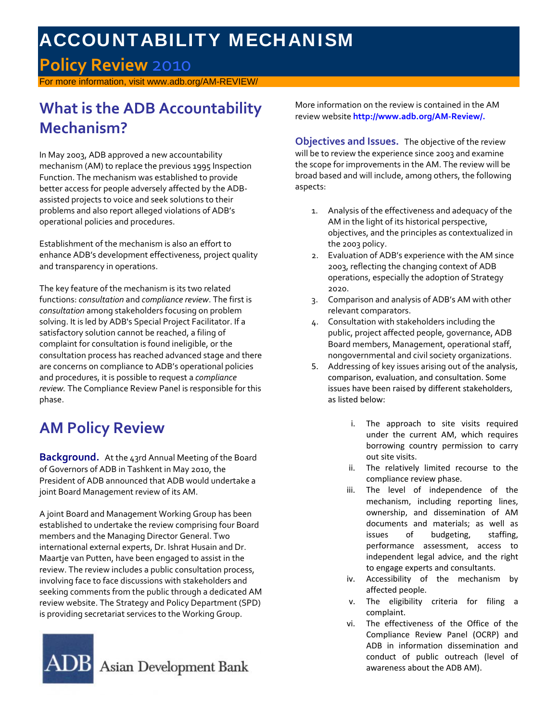# ACCOUNTABILITY MECHANISM

### **Policy Review** 2010

or more information, visit www.adb.org/AM-REVIEW/

## **What is the ADB Accountability Mechanism?**

In May 2003, ADB approved a new accountability mechanism (AM) to replace the previous 1995 Inspection Function. The mechanism was established to provide better access for people adversely affected by the ADB‐ assisted projects to voice and seek solutions to their problems and also report alleged violations of ADB's operational policies and procedures.

Establishment of the mechanism is also an effort to enhance ADB's development effectiveness, project quality and transparency in operations.

The key feature of the mechanism is its two related functions: *consultation* and *compliance review*. The first is *consultation* among stakeholders focusing on problem solving. It is led by ADB's Special Project Facilitator. If a satisfactory solution cannot be reached, a filing of complaint for consultation is found ineligible, or the consultation process has reached advanced stage and there are concerns on compliance to ADB's operational policies and procedures, it is possible to request a *compliance review.* The Compliance Review Panel is responsible for this phase.

## **AM Policy Review**

**Background.** At the 43rd Annual Meeting of the Board of Governors of ADB in Tashkent in May 2010, the President of ADB announced that ADB would undertake a joint Board Management review of its AM.

A joint Board and Management Working Group has been established to undertake the review comprising four Board members and the Managing Director General. Two international external experts, Dr. Ishrat Husain and Dr. Maartje van Putten, have been engaged to assist in the review. The review includes a public consultation process, involving face to face discussions with stakeholders and seeking comments from the public through a dedicated AM review website. The Strategy and Policy Department (SPD) is providing secretariat services to the Working Group.



More information on the review is contained in the AM review website **http://www.adb.org/AM‐Review/.**

**Objectives and Issues.** The objective of the review will be to review the experience since 2003 and examine the scope for improvements in the AM. The review will be broad based and will include, among others, the following aspects:

- 1. Analysis of the effectiveness and adequacy of the AM in the light of its historical perspective, objectives, and the principles as contextualized in the 2003 policy.
- 2. Evaluation of ADB's experience with the AM since 2003, reflecting the changing context of ADB operations, especially the adoption of Strategy 2020.
- 3. Comparison and analysis of ADB's AM with other relevant comparators.
- 4. Consultation with stakeholders including the public, project affected people, governance, ADB Board members, Management, operational staff, nongovernmental and civil society organizations.
- 5. Addressing of key issues arising out of the analysis, comparison, evaluation, and consultation. Some issues have been raised by different stakeholders, as listed below:
	- i. The approach to site visits required under the current AM, which requires borrowing country permission to carry out site visits.
	- ii. The relatively limited recourse to the compliance review phase.
	- iii. The level of independence of the mechanism, including reporting lines, ownership, and dissemination of AM documents and materials; as well as issues of budgeting, staffing, performance assessment, access to independent legal advice, and the right to engage experts and consultants.
	- iv. Accessibility of the mechanism by affected people.
	- v. The eligibility criteria for filing a complaint.
	- vi. The effectiveness of the Office of the Compliance Review Panel (OCRP) and ADB in information dissemination and conduct of public outreach (level of awareness about the ADB AM).